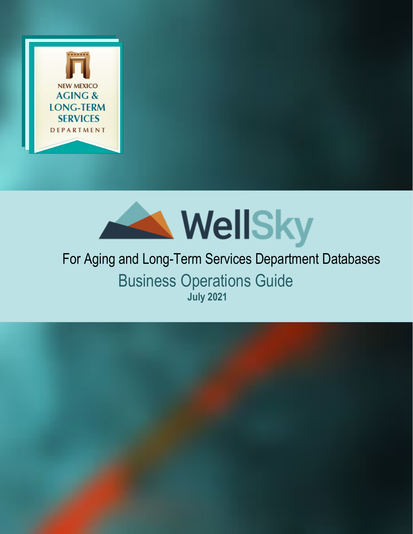



# Business Operations Guide **July 2021** For Aging and Long-Term Services Department Databases

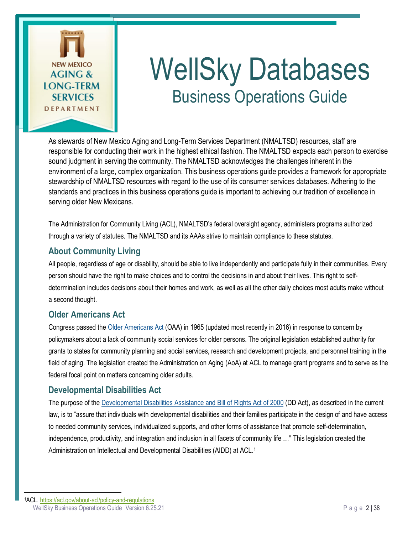

# WellSky Databases Business Operations Guide

As stewards of New Mexico Aging and Long-Term Services Department (NMALTSD) resources, staff are responsible for conducting their work in the highest ethical fashion. The NMALTSD expects each person to exercise sound judgment in serving the community. The NMALTSD acknowledges the challenges inherent in the environment of a large, complex organization. This business operations guide provides a framework for appropriate stewardship of NMALTSD resources with regard to the use of its consumer services databases. Adhering to the standards and practices in this business operations guide is important to achieving our tradition of excellence in serving older New Mexicans.

The Administration for Community Living (ACL), NMALTSD's federal oversight agency, administers programs authorized through a variety of statutes. The NMALTSD and its AAAs strive to maintain compliance to these statutes.

# <span id="page-1-1"></span>**About Community Living**

All people, regardless of age or disability, should be able to live independently and participate fully in their communities. Every person should have the right to make choices and to control the decisions in and about their lives. This right to selfdetermination includes decisions about their homes and work, as well as all the other daily choices most adults make without a second thought.

# <span id="page-1-2"></span>**Older Americans Act**

Congress passed the [Older Americans Act](https://acl.gov/node/650/) (OAA) in 1965 (updated most recently in 2016) in response to concern by policymakers about a lack of community social services for older persons. The original legislation established authority for grants to states for community planning and social services, research and development projects, and personnel training in the field of aging. The legislation created the Administration on Aging (AoA) at ACL to manage grant programs and to serve as the federal focal point on matters concerning older adults.

## <span id="page-1-3"></span>**Developmental Disabilities Act**

The purpose of the [Developmental Disabilities Assistance and Bill of Rights Act of 2000](https://acl.gov/node/106) (DD Act), as described in the current law, is to "assure that individuals with developmental disabilities and their families participate in the design of and have access to needed community services, individualized supports, and other forms of assistance that promote self-determination, independence, productivity, and integration and inclusion in all facets of community life …" This legislation created the Administration on Intellectual and Developmental Disabilities (AIDD) at ACL.[1](#page-1-0)

<span id="page-1-0"></span>WellSky Business Operations Guide Version 6.25.21 **Page 2 | 38** Page 2 | 38 1ACL[. https://acl.gov/about-acl/policy-and-regulations](https://acl.gov/about-acl/policy-and-regulations)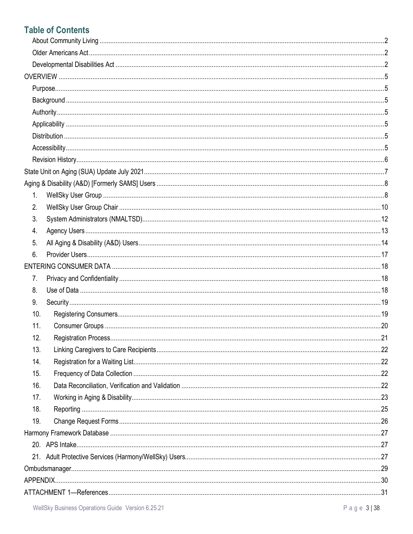# **Table of Contents**

| 1.  |  |
|-----|--|
| 2.  |  |
| 3.  |  |
| 4.  |  |
| 5.  |  |
| 6.  |  |
|     |  |
| 7.  |  |
| 8.  |  |
| 9.  |  |
| 10. |  |
| 11. |  |
| 12. |  |
| 13. |  |
| 14. |  |
| 15. |  |
| 16. |  |
| 17. |  |
| 18. |  |
| 19. |  |
|     |  |
|     |  |
|     |  |
|     |  |
|     |  |
|     |  |
|     |  |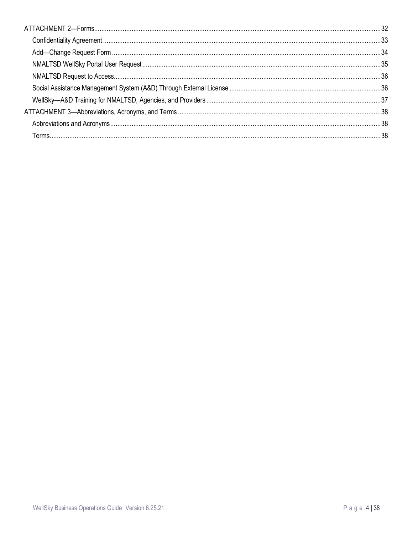<span id="page-3-0"></span>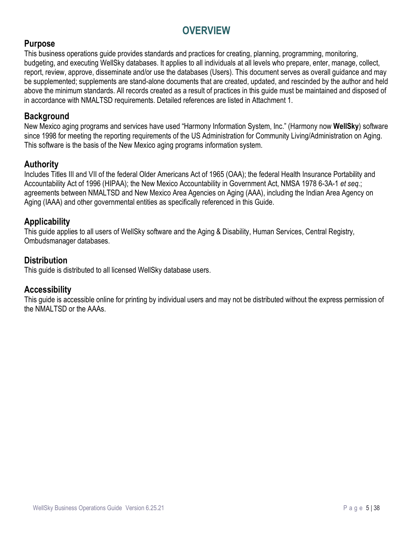# **OVERVIEW**

# <span id="page-4-0"></span>**Purpose**

This business operations guide provides standards and practices for creating, planning, programming, monitoring, budgeting, and executing WellSky databases. It applies to all individuals at all levels who prepare, enter, manage, collect, report, review, approve, disseminate and/or use the databases (Users). This document serves as overall guidance and may be supplemented; supplements are stand-alone documents that are created, updated, and rescinded by the author and held above the minimum standards. All records created as a result of practices in this guide must be maintained and disposed of in accordance with NMALTSD requirements. Detailed references are listed in Attachment 1.

## <span id="page-4-1"></span>**Background**

New Mexico aging programs and services have used "Harmony Information System, Inc." (Harmony now **WellSky**) software since 1998 for meeting the reporting requirements of the US Administration for Community Living/Administration on Aging. This software is the basis of the New Mexico aging programs information system.

## <span id="page-4-2"></span>**Authority**

Includes Titles III and VII of the federal Older Americans Act of 1965 (OAA); the federal Health Insurance Portability and Accountability Act of 1996 (HIPAA); the New Mexico Accountability in Government Act, NMSA 1978 6-3A-1 *et seq.*; agreements between NMALTSD and New Mexico Area Agencies on Aging (AAA), including the Indian Area Agency on Aging (IAAA) and other governmental entities as specifically referenced in this Guide.

## <span id="page-4-3"></span>**Applicability**

This guide applies to all users of WellSky software and the Aging & Disability, Human Services, Central Registry, Ombudsmanager databases.

## <span id="page-4-4"></span>**Distribution**

This guide is distributed to all licensed WellSky database users.

## <span id="page-4-5"></span>**Accessibility**

This guide is accessible online for printing by individual users and may not be distributed without the express permission of the NMALTSD or the AAAs.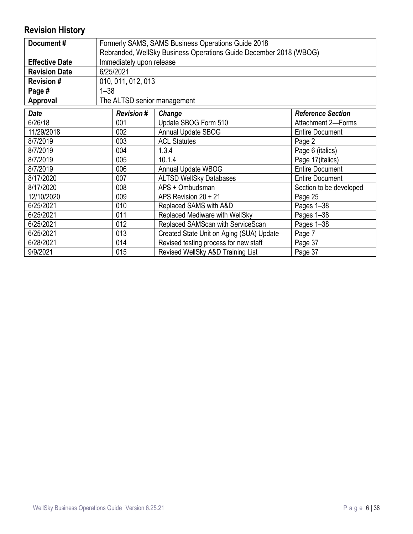# <span id="page-5-0"></span>**Revision History**

| Document#             | Formerly SAMS, SAMS Business Operations Guide 2018                |                    |                                       |                          |  |  |  |  |
|-----------------------|-------------------------------------------------------------------|--------------------|---------------------------------------|--------------------------|--|--|--|--|
|                       | Rebranded, WellSky Business Operations Guide December 2018 (WBOG) |                    |                                       |                          |  |  |  |  |
| <b>Effective Date</b> | Immediately upon release                                          |                    |                                       |                          |  |  |  |  |
| <b>Revision Date</b>  |                                                                   | 6/25/2021          |                                       |                          |  |  |  |  |
| <b>Revision#</b>      |                                                                   | 010, 011, 012, 013 |                                       |                          |  |  |  |  |
| Page #                | $1 - 38$                                                          |                    |                                       |                          |  |  |  |  |
| Approval              |                                                                   |                    | The ALTSD senior management           |                          |  |  |  |  |
| <b>Date</b>           |                                                                   | <b>Revision#</b>   | Change                                | <b>Reference Section</b> |  |  |  |  |
| 6/26/18               |                                                                   | 001                | Update SBOG Form 510                  | Attachment 2-Forms       |  |  |  |  |
| 11/29/2018            |                                                                   | 002                | <b>Annual Update SBOG</b>             | <b>Entire Document</b>   |  |  |  |  |
| 8/7/2019              |                                                                   | 003                | <b>ACL Statutes</b>                   | Page 2                   |  |  |  |  |
| 8/7/2019              |                                                                   | 004                | 1.3.4                                 | Page 6 (italics)         |  |  |  |  |
| 8/7/2019              | 005                                                               |                    | 10.1.4                                | Page 17(italics)         |  |  |  |  |
| 8/7/2019              |                                                                   | 006                | Annual Update WBOG                    | <b>Entire Document</b>   |  |  |  |  |
| 8/17/2020             |                                                                   | 007                | <b>ALTSD WellSky Databases</b>        | <b>Entire Document</b>   |  |  |  |  |
| 8/17/2020             |                                                                   | 008                | APS + Ombudsman                       | Section to be developed  |  |  |  |  |
| 12/10/2020            |                                                                   | 009                | APS Revision 20 + 21                  | Page 25                  |  |  |  |  |
| 6/25/2021             |                                                                   | 010                | Replaced SAMS with A&D                | Pages 1-38               |  |  |  |  |
| 6/25/2021             | 011                                                               |                    | Replaced Mediware with WellSky        | Pages 1-38               |  |  |  |  |
| 6/25/2021             | 012                                                               |                    | Replaced SAMScan with ServiceScan     | Pages 1-38               |  |  |  |  |
| 6/25/2021             | 013<br>Created State Unit on Aging (SUA) Update<br>Page 7         |                    |                                       |                          |  |  |  |  |
| 6/28/2021             |                                                                   | 014                | Revised testing process for new staff | Page 37                  |  |  |  |  |
| 9/9/2021              | 015                                                               |                    | Revised WellSky A&D Training List     | Page 37                  |  |  |  |  |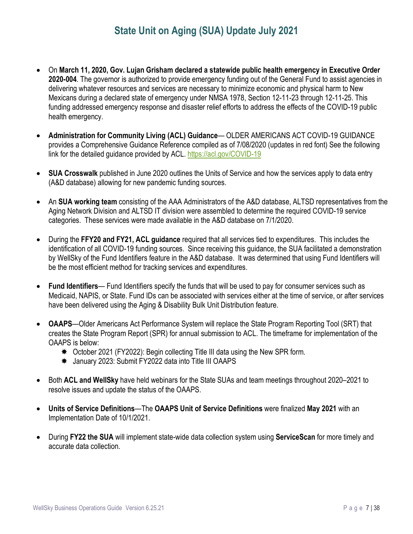# **State Unit on Aging (SUA) Update July 2021**

- <span id="page-6-0"></span>• On **March 11, 2020, Gov. Lujan Grisham declared a statewide public health emergency in Executive Order 2020-004**. The governor is authorized to provide emergency funding out of the General Fund to assist agencies in delivering whatever resources and services are necessary to minimize economic and physical harm to New Mexicans during a declared state of emergency under NMSA 1978, Section 12-11-23 through 12-11-25. This funding addressed emergency response and disaster relief efforts to address the effects of the COVID-19 public health emergency.
- **Administration for Community Living (ACL) Guidance** OLDER AMERICANS ACT COVID-19 GUIDANCE provides a Comprehensive Guidance Reference compiled as of 7/08/2020 (updates in red font) See the following link for the detailed guidance provided by ACL.<https://acl.gov/COVID-19>
- **SUA Crosswalk** published in June 2020 outlines the Units of Service and how the services apply to data entry (A&D database) allowing for new pandemic funding sources.
- An **SUA working team** consisting of the AAA Administrators of the A&D database, ALTSD representatives from the Aging Network Division and ALTSD IT division were assembled to determine the required COVID-19 service categories. These services were made available in the A&D database on 7/1/2020.
- During the **FFY20 and FY21, ACL guidance** required that all services tied to expenditures. This includes the identification of all COVID-19 funding sources. Since receiving this guidance, the SUA facilitated a demonstration by WellSky of the Fund Identifiers feature in the A&D database. It was determined that using Fund Identifiers will be the most efficient method for tracking services and expenditures.
- **Fund Identifiers** Fund Identifiers specify the funds that will be used to pay for consumer services such as Medicaid, NAPIS, or State. Fund IDs can be associated with services either at the time of service, or after services have been delivered using the Aging & Disability Bulk Unit Distribution feature.
- **OAAPS**—Older Americans Act Performance System will replace the State Program Reporting Tool (SRT) that creates the State Program Report (SPR) for annual submission to ACL. The timeframe for implementation of the OAAPS is below:
	- October 2021 (FY2022): Begin collecting Title III data using the New SPR form.
	- January 2023: Submit FY2022 data into Title III OAAPS
- Both **ACL and WellSky** have held webinars for the State SUAs and team meetings throughout 2020–2021 to resolve issues and update the status of the OAAPS.
- **Units of Service Definitions**—The **OAAPS Unit of Service Definitions** were finalized **May 2021** with an Implementation Date of 10/1/2021.
- During **FY22 the SUA** will implement state-wide data collection system using **ServiceScan** for more timely and accurate data collection.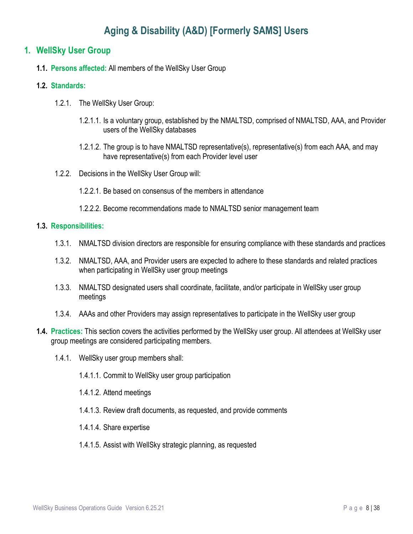# **Aging & Disability (A&D) [Formerly SAMS] Users**

#### <span id="page-7-1"></span><span id="page-7-0"></span>**1. WellSky User Group**

**1.1. Persons affected:** All members of the WellSky User Group

#### **1.2. Standards:**

- 1.2.1. The WellSky User Group:
	- 1.2.1.1. Is a voluntary group, established by the NMALTSD, comprised of NMALTSD, AAA, and Provider users of the WellSky databases
	- 1.2.1.2. The group is to have NMALTSD representative(s), representative(s) from each AAA, and may have representative(s) from each Provider level user
- 1.2.2. Decisions in the WellSky User Group will:
	- 1.2.2.1. Be based on consensus of the members in attendance
	- 1.2.2.2. Become recommendations made to NMALTSD senior management team

- 1.3.1. NMALTSD division directors are responsible for ensuring compliance with these standards and practices
- 1.3.2. NMALTSD, AAA, and Provider users are expected to adhere to these standards and related practices when participating in WellSky user group meetings
- 1.3.3. NMALTSD designated users shall coordinate, facilitate, and/or participate in WellSky user group meetings
- 1.3.4. AAAs and other Providers may assign representatives to participate in the WellSky user group
- **1.4. Practices:** This section covers the activities performed by the WellSky user group. All attendees at WellSky user group meetings are considered participating members.
	- 1.4.1. WellSky user group members shall:
		- 1.4.1.1. Commit to WellSky user group participation
		- 1.4.1.2. Attend meetings
		- 1.4.1.3. Review draft documents, as requested, and provide comments
		- 1.4.1.4. Share expertise
		- 1.4.1.5. Assist with WellSky strategic planning, as requested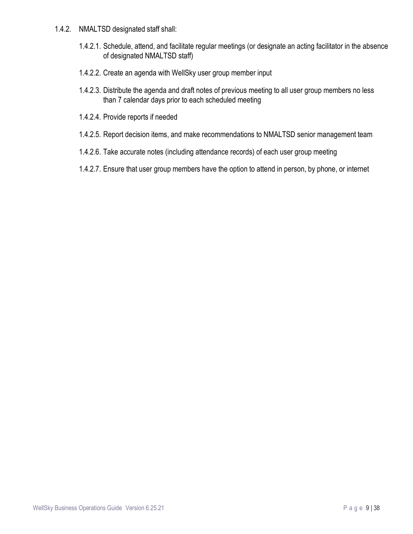- 1.4.2. NMALTSD designated staff shall:
	- 1.4.2.1. Schedule, attend, and facilitate regular meetings (or designate an acting facilitator in the absence of designated NMALTSD staff)
	- 1.4.2.2. Create an agenda with WellSky user group member input
	- 1.4.2.3. Distribute the agenda and draft notes of previous meeting to all user group members no less than 7 calendar days prior to each scheduled meeting
	- 1.4.2.4. Provide reports if needed
	- 1.4.2.5. Report decision items, and make recommendations to NMALTSD senior management team
	- 1.4.2.6. Take accurate notes (including attendance records) of each user group meeting
	- 1.4.2.7. Ensure that user group members have the option to attend in person, by phone, or internet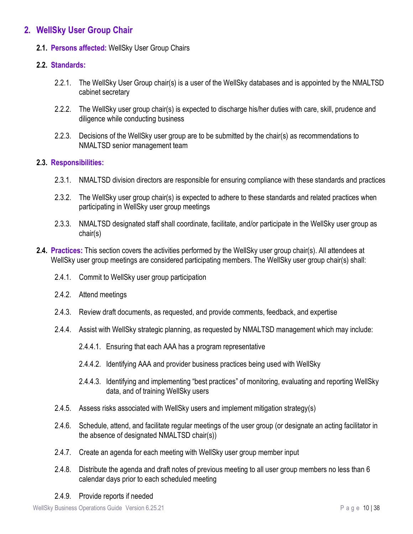## <span id="page-9-0"></span>**2. WellSky User Group Chair**

#### **2.1. Persons affected:** WellSky User Group Chairs

#### **2.2. Standards:**

- 2.2.1. The WellSky User Group chair(s) is a user of the WellSky databases and is appointed by the NMALTSD cabinet secretary
- 2.2.2. The WellSky user group chair(s) is expected to discharge his/her duties with care, skill, prudence and diligence while conducting business
- 2.2.3. Decisions of the WellSky user group are to be submitted by the chair(s) as recommendations to NMALTSD senior management team

- 2.3.1. NMALTSD division directors are responsible for ensuring compliance with these standards and practices
- 2.3.2. The WellSky user group chair(s) is expected to adhere to these standards and related practices when participating in WellSky user group meetings
- 2.3.3. NMALTSD designated staff shall coordinate, facilitate, and/or participate in the WellSky user group as chair(s)
- **2.4. Practices:** This section covers the activities performed by the WellSky user group chair(s). All attendees at WellSky user group meetings are considered participating members. The WellSky user group chair(s) shall:
	- 2.4.1. Commit to WellSky user group participation
	- 2.4.2. Attend meetings
	- 2.4.3. Review draft documents, as requested, and provide comments, feedback, and expertise
	- 2.4.4. Assist with WellSky strategic planning, as requested by NMALTSD management which may include:
		- 2.4.4.1. Ensuring that each AAA has a program representative
		- 2.4.4.2. Identifying AAA and provider business practices being used with WellSky
		- 2.4.4.3. Identifying and implementing "best practices" of monitoring, evaluating and reporting WellSky data, and of training WellSky users
	- 2.4.5. Assess risks associated with WellSky users and implement mitigation strategy(s)
	- 2.4.6. Schedule, attend, and facilitate regular meetings of the user group (or designate an acting facilitator in the absence of designated NMALTSD chair(s))
	- 2.4.7. Create an agenda for each meeting with WellSky user group member input
	- 2.4.8. Distribute the agenda and draft notes of previous meeting to all user group members no less than 6 calendar days prior to each scheduled meeting
	- 2.4.9. Provide reports if needed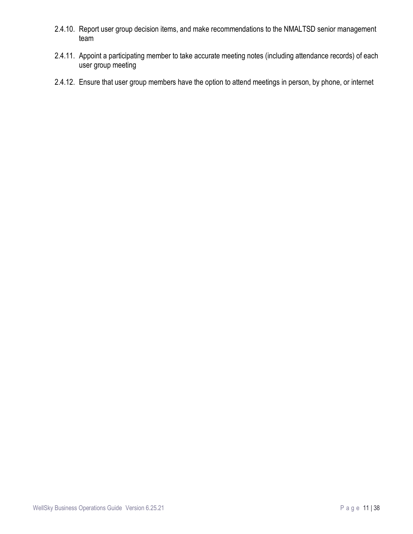- 2.4.10. Report user group decision items, and make recommendations to the NMALTSD senior management team
- 2.4.11. Appoint a participating member to take accurate meeting notes (including attendance records) of each user group meeting
- 2.4.12. Ensure that user group members have the option to attend meetings in person, by phone, or internet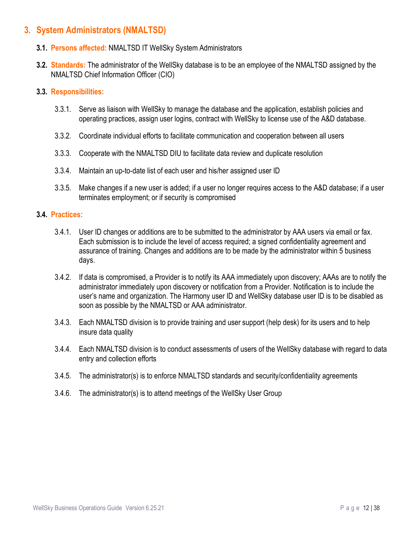## <span id="page-11-0"></span>**3. System Administrators (NMALTSD)**

- **3.1. Persons affected:** NMALTSD IT WellSky System Administrators
- **3.2. Standards:** The administrator of the WellSky database is to be an employee of the NMALTSD assigned by the NMALTSD Chief Information Officer (CIO)

#### **3.3. Responsibilities:**

- 3.3.1. Serve as liaison with WellSky to manage the database and the application, establish policies and operating practices, assign user logins, contract with WellSky to license use of the A&D database.
- 3.3.2. Coordinate individual efforts to facilitate communication and cooperation between all users
- 3.3.3. Cooperate with the NMALTSD DIU to facilitate data review and duplicate resolution
- 3.3.4. Maintain an up-to-date list of each user and his/her assigned user ID
- 3.3.5. Make changes if a new user is added; if a user no longer requires access to the A&D database; if a user terminates employment; or if security is compromised

#### **3.4. Practices:**

- 3.4.1. User ID changes or additions are to be submitted to the administrator by AAA users via email or fax. Each submission is to include the level of access required; a signed confidentiality agreement and assurance of training. Changes and additions are to be made by the administrator within 5 business days.
- 3.4.2. If data is compromised, a Provider is to notify its AAA immediately upon discovery; AAAs are to notify the administrator immediately upon discovery or notification from a Provider. Notification is to include the user's name and organization. The Harmony user ID and WellSky database user ID is to be disabled as soon as possible by the NMALTSD or AAA administrator.
- 3.4.3. Each NMALTSD division is to provide training and user support (help desk) for its users and to help insure data quality
- 3.4.4. Each NMALTSD division is to conduct assessments of users of the WellSky database with regard to data entry and collection efforts
- 3.4.5. The administrator(s) is to enforce NMALTSD standards and security/confidentiality agreements
- 3.4.6. The administrator(s) is to attend meetings of the WellSky User Group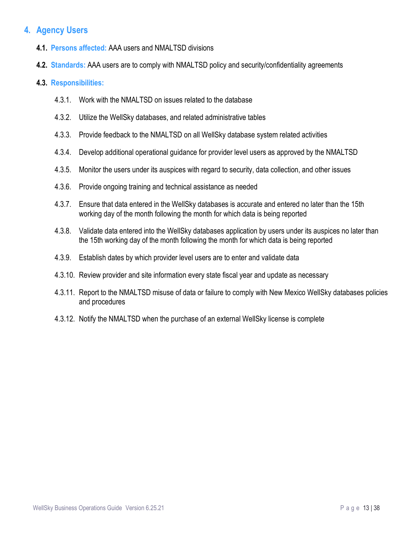# <span id="page-12-0"></span>**4. Agency Users**

- **4.1. Persons affected:** AAA users and NMALTSD divisions
- **4.2. Standards:** AAA users are to comply with NMALTSD policy and security/confidentiality agreements

- 4.3.1. Work with the NMALTSD on issues related to the database
- 4.3.2. Utilize the WellSky databases, and related administrative tables
- 4.3.3. Provide feedback to the NMALTSD on all WellSky database system related activities
- 4.3.4. Develop additional operational guidance for provider level users as approved by the NMALTSD
- 4.3.5. Monitor the users under its auspices with regard to security, data collection, and other issues
- 4.3.6. Provide ongoing training and technical assistance as needed
- 4.3.7. Ensure that data entered in the WellSky databases is accurate and entered no later than the 15th working day of the month following the month for which data is being reported
- 4.3.8. Validate data entered into the WellSky databases application by users under its auspices no later than the 15th working day of the month following the month for which data is being reported
- 4.3.9. Establish dates by which provider level users are to enter and validate data
- 4.3.10. Review provider and site information every state fiscal year and update as necessary
- 4.3.11. Report to the NMALTSD misuse of data or failure to comply with New Mexico WellSky databases policies and procedures
- 4.3.12. Notify the NMALTSD when the purchase of an external WellSky license is complete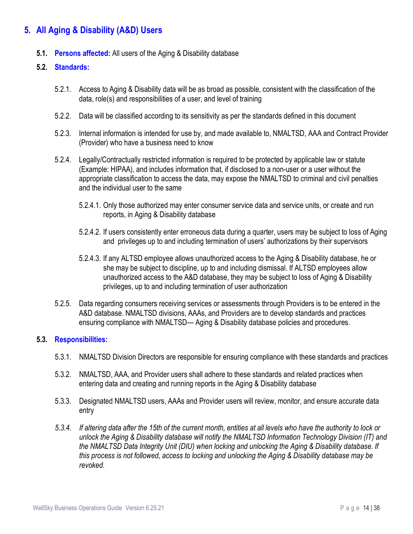# <span id="page-13-0"></span>**5. All Aging & Disability (A&D) Users**

**5.1. Persons affected:** All users of the Aging & Disability database

#### **5.2. Standards:**

- 5.2.1. Access to Aging & Disability data will be as broad as possible, consistent with the classification of the data, role(s) and responsibilities of a user, and level of training
- 5.2.2. Data will be classified according to its sensitivity as per the standards defined in this document
- 5.2.3. Internal information is intended for use by, and made available to, NMALTSD, AAA and Contract Provider (Provider) who have a business need to know
- 5.2.4. Legally/Contractually restricted information is required to be protected by applicable law or statute (Example: HIPAA), and includes information that, if disclosed to a non-user or a user without the appropriate classification to access the data, may expose the NMALTSD to criminal and civil penalties and the individual user to the same
	- 5.2.4.1. Only those authorized may enter consumer service data and service units, or create and run reports, in Aging & Disability database
	- 5.2.4.2. If users consistently enter erroneous data during a quarter, users may be subject to loss of Aging and privileges up to and including termination of users' authorizations by their supervisors
	- 5.2.4.3. If any ALTSD employee allows unauthorized access to the Aging & Disability database, he or she may be subject to discipline, up to and including dismissal. If ALTSD employees allow unauthorized access to the A&D database, they may be subject to loss of Aging & Disability privileges, up to and including termination of user authorization
- 5.2.5. Data regarding consumers receiving services or assessments through Providers is to be entered in the A&D database. NMALTSD divisions, AAAs, and Providers are to develop standards and practices ensuring compliance with NMALTSD— Aging & Disability database policies and procedures.

- 5.3.1. NMALTSD Division Directors are responsible for ensuring compliance with these standards and practices
- 5.3.2. NMALTSD, AAA, and Provider users shall adhere to these standards and related practices when entering data and creating and running reports in the Aging & Disability database
- 5.3.3. Designated NMALTSD users, AAAs and Provider users will review, monitor, and ensure accurate data entry
- *5.3.4. If altering data after the 15th of the current month, entities at all levels who have the authority to lock or unlock the Aging & Disability database will notify the NMALTSD Information Technology Division (IT) and the NMALTSD Data Integrity Unit (DIU) when locking and unlocking the Aging & Disability database. If this process is not followed, access to locking and unlocking the Aging & Disability database may be revoked.*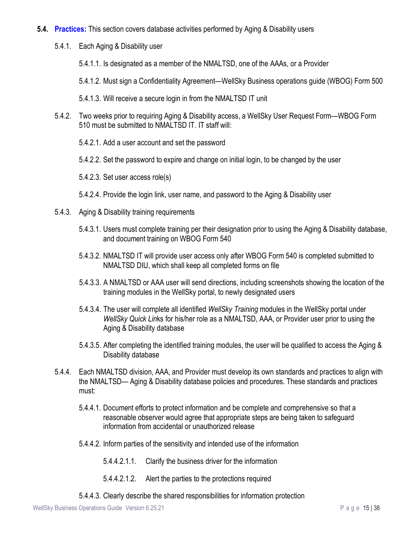- **5.4. Practices:** This section covers database activities performed by Aging & Disability users
	- 5.4.1. Each Aging & Disability user
		- 5.4.1.1. Is designated as a member of the NMALTSD, one of the AAAs, or a Provider
		- 5.4.1.2. Must sign a Confidentiality Agreement—WellSky Business operations guide (WBOG) Form 500
		- 5.4.1.3. Will receive a secure login in from the NMALTSD IT unit
	- 5.4.2. Two weeks prior to requiring Aging & Disability access, a WellSky User Request Form—WBOG Form 510 must be submitted to NMALTSD IT. IT staff will:
		- 5.4.2.1. Add a user account and set the password
		- 5.4.2.2. Set the password to expire and change on initial login, to be changed by the user
		- 5.4.2.3. Set user access role(s)
		- 5.4.2.4. Provide the login link, user name, and password to the Aging & Disability user
	- 5.4.3. Aging & Disability training requirements
		- 5.4.3.1. Users must complete training per their designation prior to using the Aging & Disability database, and document training on WBOG Form 540
		- 5.4.3.2. NMALTSD IT will provide user access only after WBOG Form 540 is completed submitted to NMALTSD DIU, which shall keep all completed forms on file
		- 5.4.3.3. A NMALTSD or AAA user will send directions, including screenshots showing the location of the training modules in the WellSky portal, to newly designated users
		- 5.4.3.4. The user will complete all identified *WellSky Training* modules in the WellSky portal under *WellSky Quick Lin*ks for his/her role as a NMALTSD, AAA, or Provider user prior to using the Aging & Disability database
		- 5.4.3.5. After completing the identified training modules, the user will be qualified to access the Aging & Disability database
	- 5.4.4. Each NMALTSD division, AAA, and Provider must develop its own standards and practices to align with the NMALTSD— Aging & Disability database policies and procedures. These standards and practices must:
		- 5.4.4.1. Document efforts to protect information and be complete and comprehensive so that a reasonable observer would agree that appropriate steps are being taken to safeguard information from accidental or unauthorized release
		- 5.4.4.2. Inform parties of the sensitivity and intended use of the information
			- 5.4.4.2.1.1. Clarify the business driver for the information
			- 5.4.4.2.1.2. Alert the parties to the protections required
		- 5.4.4.3. Clearly describe the shared responsibilities for information protection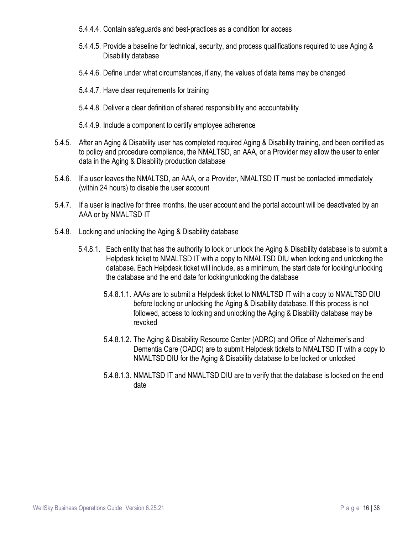- 5.4.4.4. Contain safeguards and best-practices as a condition for access
- 5.4.4.5. Provide a baseline for technical, security, and process qualifications required to use Aging & Disability database
- 5.4.4.6. Define under what circumstances, if any, the values of data items may be changed
- 5.4.4.7. Have clear requirements for training
- 5.4.4.8. Deliver a clear definition of shared responsibility and accountability
- 5.4.4.9. Include a component to certify employee adherence
- 5.4.5. After an Aging & Disability user has completed required Aging & Disability training, and been certified as to policy and procedure compliance, the NMALTSD, an AAA, or a Provider may allow the user to enter data in the Aging & Disability production database
- 5.4.6. If a user leaves the NMALTSD, an AAA, or a Provider, NMALTSD IT must be contacted immediately (within 24 hours) to disable the user account
- 5.4.7. If a user is inactive for three months, the user account and the portal account will be deactivated by an AAA or by NMALTSD IT
- 5.4.8. Locking and unlocking the Aging & Disability database
	- 5.4.8.1. Each entity that has the authority to lock or unlock the Aging & Disability database is to submit a Helpdesk ticket to NMALTSD IT with a copy to NMALTSD DIU when locking and unlocking the database. Each Helpdesk ticket will include, as a minimum, the start date for locking/unlocking the database and the end date for locking/unlocking the database
		- 5.4.8.1.1. AAAs are to submit a Helpdesk ticket to NMALTSD IT with a copy to NMALTSD DIU before locking or unlocking the Aging & Disability database. If this process is not followed, access to locking and unlocking the Aging & Disability database may be revoked
		- 5.4.8.1.2. The Aging & Disability Resource Center (ADRC) and Office of Alzheimer's and Dementia Care (OADC) are to submit Helpdesk tickets to NMALTSD IT with a copy to NMALTSD DIU for the Aging & Disability database to be locked or unlocked
		- 5.4.8.1.3. NMALTSD IT and NMALTSD DIU are to verify that the database is locked on the end date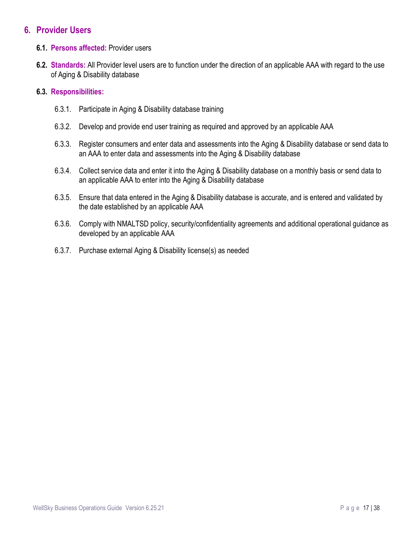#### <span id="page-16-0"></span>**6. Provider Users**

- **6.1. Persons affected:** Provider users
- **6.2. Standards:** All Provider level users are to function under the direction of an applicable AAA with regard to the use of Aging & Disability database

- 6.3.1. Participate in Aging & Disability database training
- 6.3.2. Develop and provide end user training as required and approved by an applicable AAA
- 6.3.3. Register consumers and enter data and assessments into the Aging & Disability database or send data to an AAA to enter data and assessments into the Aging & Disability database
- 6.3.4. Collect service data and enter it into the Aging & Disability database on a monthly basis or send data to an applicable AAA to enter into the Aging & Disability database
- 6.3.5. Ensure that data entered in the Aging & Disability database is accurate, and is entered and validated by the date established by an applicable AAA
- 6.3.6. Comply with NMALTSD policy, security/confidentiality agreements and additional operational guidance as developed by an applicable AAA
- 6.3.7. Purchase external Aging & Disability license(s) as needed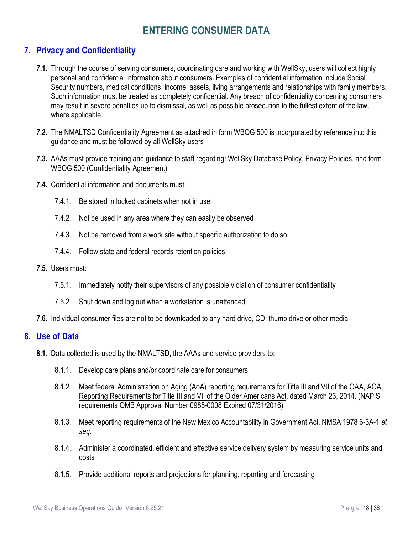# **ENTERING CONSUMER DATA**

# <span id="page-17-1"></span><span id="page-17-0"></span>**7. Privacy and Confidentiality**

- **7.1.** Through the course of serving consumers, coordinating care and working with WellSky, users will collect highly personal and confidential information about consumers. Examples of confidential information include Social Security numbers, medical conditions, income, assets, living arrangements and relationships with family members. Such information must be treated as completely confidential. Any breach of confidentiality concerning consumers may result in severe penalties up to dismissal, as well as possible prosecution to the fullest extent of the law, where applicable.
- **7.2.** The NMALTSD Confidentiality Agreement as attached in form WBOG 500 is incorporated by reference into this guidance and must be followed by all WellSky users
- **7.3.** AAAs must provide training and guidance to staff regarding: WellSky Database Policy, Privacy Policies, and form WBOG 500 (Confidentiality Agreement)
- **7.4.** Confidential information and documents must:
	- 7.4.1. Be stored in locked cabinets when not in use
	- 7.4.2. Not be used in any area where they can easily be observed
	- 7.4.3. Not be removed from a work site without specific authorization to do so
	- 7.4.4. Follow state and federal records retention policies
- **7.5.** Users must:
	- 7.5.1. Immediately notify their supervisors of any possible violation of consumer confidentiality
	- 7.5.2. Shut down and log out when a workstation is unattended
- **7.6.** Individual consumer files are not to be downloaded to any hard drive, CD, thumb drive or other media

#### <span id="page-17-2"></span>**8. Use of Data**

- **8.1.** Data collected is used by the NMALTSD, the AAAs and service providers to:
	- 8.1.1. Develop care plans and/or coordinate care for consumers
	- 8.1.2. Meet federal Administration on Aging (AoA) reporting requirements for Title III and VII of the OAA, AOA, Reporting Requirements for Title III and VII of the Older Americans Act, dated March 23, 2014. (NAPIS requirements OMB Approval Number 0985-0008 Expired 07/31/2016)
	- 8.1.3. Meet reporting requirements of the New Mexico Accountability in Government Act, NMSA 1978 6-3A-1 *et seq.*
	- 8.1.4. Administer a coordinated, efficient and effective service delivery system by measuring service units and costs
	- 8.1.5. Provide additional reports and projections for planning, reporting and forecasting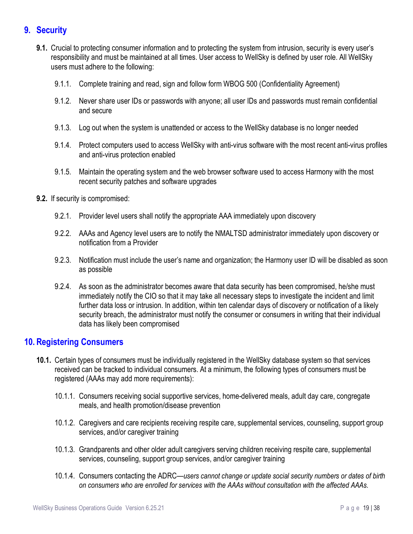# <span id="page-18-0"></span>**9. Security**

- **9.1.** Crucial to protecting consumer information and to protecting the system from intrusion, security is every user's responsibility and must be maintained at all times. User access to WellSky is defined by user role. All WellSky users must adhere to the following:
	- 9.1.1. Complete training and read, sign and follow form WBOG 500 (Confidentiality Agreement)
	- 9.1.2. Never share user IDs or passwords with anyone; all user IDs and passwords must remain confidential and secure
	- 9.1.3. Log out when the system is unattended or access to the WellSky database is no longer needed
	- 9.1.4. Protect computers used to access WellSky with anti-virus software with the most recent anti-virus profiles and anti-virus protection enabled
	- 9.1.5. Maintain the operating system and the web browser software used to access Harmony with the most recent security patches and software upgrades
- **9.2.** If security is compromised:
	- 9.2.1. Provider level users shall notify the appropriate AAA immediately upon discovery
	- 9.2.2. AAAs and Agency level users are to notify the NMALTSD administrator immediately upon discovery or notification from a Provider
	- 9.2.3. Notification must include the user's name and organization; the Harmony user ID will be disabled as soon as possible
	- 9.2.4. As soon as the administrator becomes aware that data security has been compromised, he/she must immediately notify the CIO so that it may take all necessary steps to investigate the incident and limit further data loss or intrusion. In addition, within ten calendar days of discovery or notification of a likely security breach, the administrator must notify the consumer or consumers in writing that their individual data has likely been compromised

## <span id="page-18-1"></span>**10. Registering Consumers**

- **10.1.** Certain types of consumers must be individually registered in the WellSky database system so that services received can be tracked to individual consumers. At a minimum, the following types of consumers must be registered (AAAs may add more requirements):
	- 10.1.1. Consumers receiving social supportive services, home-delivered meals, adult day care, congregate meals, and health promotion/disease prevention
	- 10.1.2. Caregivers and care recipients receiving respite care, supplemental services, counseling, support group services, and/or caregiver training
	- 10.1.3. Grandparents and other older adult caregivers serving children receiving respite care, supplemental services, counseling, support group services, and/or caregiver training
	- 10.1.4. Consumers contacting the ADRC*—users cannot change or update social security numbers or dates of birth on consumers who are enrolled for services with the AAAs without consultation with the affected AAAs.*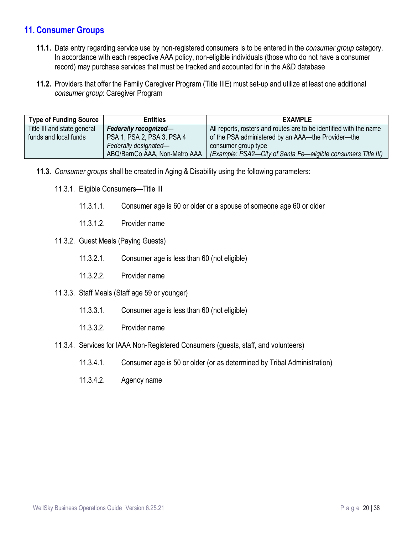## <span id="page-19-0"></span>**11. Consumer Groups**

- **11.1.** Data entry regarding service use by non-registered consumers is to be entered in the *consumer group* category. In accordance with each respective AAA policy, non-eligible individuals (those who do not have a consumer record) may purchase services that must be tracked and accounted for in the A&D database
- **11.2.** Providers that offer the Family Caregiver Program (Title IIIE) must set-up and utilize at least one additional *consumer group*: Caregiver Program

| <b>Type of Funding Source</b> | <b>Entities</b>               | <b>EXAMPLE</b>                                                     |  |  |
|-------------------------------|-------------------------------|--------------------------------------------------------------------|--|--|
| Title III and state general   | Federally recognized-         | All reports, rosters and routes are to be identified with the name |  |  |
| funds and local funds         | PSA 1, PSA 2, PSA 3, PSA 4    | of the PSA administered by an AAA—the Provider—the                 |  |  |
|                               | Federally designated-         | consumer group type                                                |  |  |
|                               | ABQ/BernCo AAA, Non-Metro AAA | (Example: PSA2-City of Santa Fe-eligible consumers Title III)      |  |  |

- **11.3.** *Consumer groups* shall be created in Aging & Disability using the following parameters:
	- 11.3.1. Eligible Consumers—Title III
		- 11.3.1.1. Consumer age is 60 or older or a spouse of someone age 60 or older
		- 11.3.1.2. Provider name
	- 11.3.2. Guest Meals (Paying Guests)
		- 11.3.2.1. Consumer age is less than 60 (not eligible)
		- 11.3.2.2. Provider name
	- 11.3.3. Staff Meals (Staff age 59 or younger)
		- 11.3.3.1. Consumer age is less than 60 (not eligible)
		- 11.3.3.2. Provider name
	- 11.3.4. Services for IAAA Non-Registered Consumers (guests, staff, and volunteers)
		- 11.3.4.1. Consumer age is 50 or older (or as determined by Tribal Administration)
		- 11.3.4.2. Agency name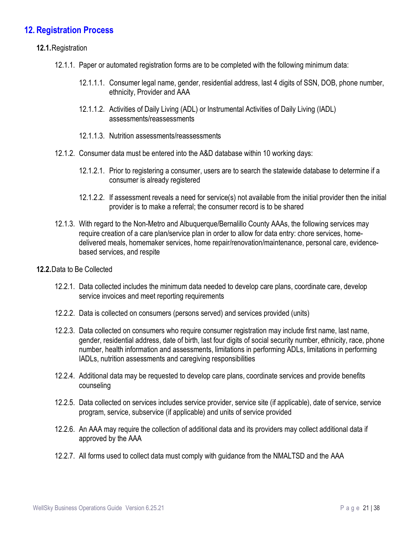## <span id="page-20-0"></span>**12. Registration Process**

#### **12.1.**Registration

- 12.1.1. Paper or automated registration forms are to be completed with the following minimum data:
	- 12.1.1.1. Consumer legal name, gender, residential address, last 4 digits of SSN, DOB, phone number, ethnicity, Provider and AAA
	- 12.1.1.2. Activities of Daily Living (ADL) or Instrumental Activities of Daily Living (IADL) assessments/reassessments
	- 12.1.1.3. Nutrition assessments/reassessments
- 12.1.2. Consumer data must be entered into the A&D database within 10 working days:
	- 12.1.2.1. Prior to registering a consumer, users are to search the statewide database to determine if a consumer is already registered
	- 12.1.2.2. If assessment reveals a need for service(s) not available from the initial provider then the initial provider is to make a referral; the consumer record is to be shared
- 12.1.3. With regard to the Non-Metro and Albuquerque/Bernalillo County AAAs, the following services may require creation of a care plan/service plan in order to allow for data entry: chore services, homedelivered meals, homemaker services, home repair/renovation/maintenance, personal care, evidencebased services, and respite
- **12.2.**Data to Be Collected
	- 12.2.1. Data collected includes the minimum data needed to develop care plans, coordinate care, develop service invoices and meet reporting requirements
	- 12.2.2. Data is collected on consumers (persons served) and services provided (units)
	- 12.2.3. Data collected on consumers who require consumer registration may include first name, last name, gender, residential address, date of birth, last four digits of social security number, ethnicity, race, phone number, health information and assessments, limitations in performing ADLs, limitations in performing IADLs, nutrition assessments and caregiving responsibilities
	- 12.2.4. Additional data may be requested to develop care plans, coordinate services and provide benefits counseling
	- 12.2.5. Data collected on services includes service provider, service site (if applicable), date of service, service program, service, subservice (if applicable) and units of service provided
	- 12.2.6. An AAA may require the collection of additional data and its providers may collect additional data if approved by the AAA
	- 12.2.7. All forms used to collect data must comply with guidance from the NMALTSD and the AAA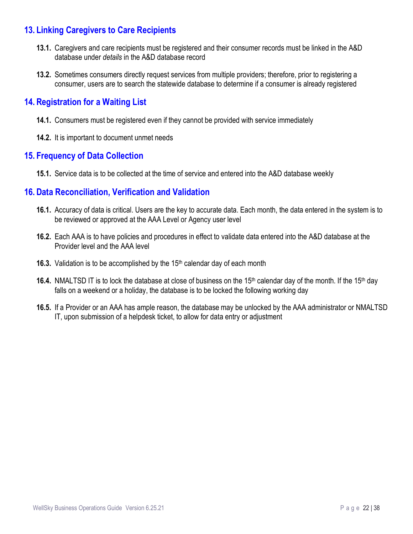## <span id="page-21-0"></span>**13. Linking Caregivers to Care Recipients**

- **13.1.** Caregivers and care recipients must be registered and their consumer records must be linked in the A&D database under *details* in the A&D database record
- **13.2.** Sometimes consumers directly request services from multiple providers; therefore, prior to registering a consumer, users are to search the statewide database to determine if a consumer is already registered

## <span id="page-21-1"></span>**14. Registration for a Waiting List**

- **14.1.** Consumers must be registered even if they cannot be provided with service immediately
- **14.2.** It is important to document unmet needs

## <span id="page-21-2"></span>**15. Frequency of Data Collection**

**15.1.** Service data is to be collected at the time of service and entered into the A&D database weekly

## <span id="page-21-3"></span>**16. Data Reconciliation, Verification and Validation**

- **16.1.** Accuracy of data is critical. Users are the key to accurate data. Each month, the data entered in the system is to be reviewed or approved at the AAA Level or Agency user level
- **16.2.** Each AAA is to have policies and procedures in effect to validate data entered into the A&D database at the Provider level and the AAA level
- **16.3.** Validation is to be accomplished by the 15<sup>th</sup> calendar day of each month
- **16.4.** NMALTSD IT is to lock the database at close of business on the 15<sup>th</sup> calendar day of the month. If the 15<sup>th</sup> day falls on a weekend or a holiday, the database is to be locked the following working day
- **16.5.** If a Provider or an AAA has ample reason, the database may be unlocked by the AAA administrator or NMALTSD IT, upon submission of a helpdesk ticket, to allow for data entry or adjustment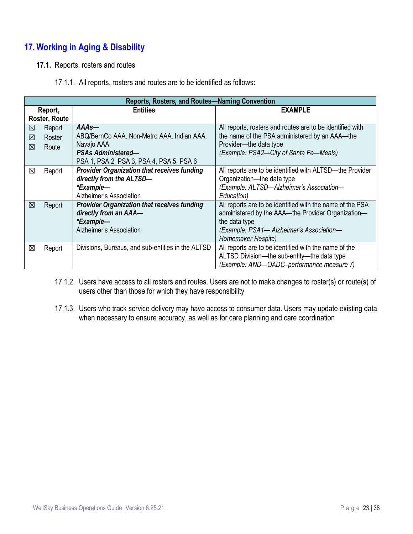# <span id="page-22-0"></span>**17. Working in Aging & Disability**

- **17.1.** Reports, rosters and routes
	- 17.1.1. All reports, rosters and routes are to be identified as follows:

|                           | Reports, Rosters, and Routes-Naming Convention |                                                    |                                                           |  |  |  |  |
|---------------------------|------------------------------------------------|----------------------------------------------------|-----------------------------------------------------------|--|--|--|--|
| Report,                   |                                                | <b>Entities</b>                                    | <b>EXAMPLE</b>                                            |  |  |  |  |
| Roster, Route             |                                                |                                                    |                                                           |  |  |  |  |
| ⊠                         | Report                                         | AAAs-                                              | All reports, rosters and routes are to be identified with |  |  |  |  |
| ⊠                         | Roster                                         | ABQ/BernCo AAA, Non-Metro AAA, Indian AAA,         | the name of the PSA administered by an AAA—the            |  |  |  |  |
| ⊠                         | Route                                          | Navajo AAA                                         | Provider-the data type                                    |  |  |  |  |
| <b>PSAs Administered-</b> |                                                |                                                    | (Example: PSA2-City of Santa Fe-Meals)                    |  |  |  |  |
|                           |                                                | PSA 1, PSA 2, PSA 3, PSA 4, PSA 5, PSA 6           |                                                           |  |  |  |  |
| ⊠                         | Report                                         | <b>Provider Organization that receives funding</b> | All reports are to be identified with ALTSD—the Provider  |  |  |  |  |
|                           |                                                | directly from the ALTSD-                           | Organization-the data type                                |  |  |  |  |
|                           |                                                | *Example-                                          | (Example: ALTSD-Alzheimer's Association-                  |  |  |  |  |
|                           |                                                | Alzheimer's Association                            | Education)                                                |  |  |  |  |
| ⊠                         | Report                                         | <b>Provider Organization that receives funding</b> | All reports are to be identified with the name of the PSA |  |  |  |  |
|                           |                                                | directly from an AAA-                              | administered by the AAA—the Provider Organization—        |  |  |  |  |
|                           |                                                | *Example-                                          | the data type                                             |  |  |  |  |
|                           |                                                | Alzheimer's Association                            | (Example: PSA1- Alzheimer's Association-                  |  |  |  |  |
|                           |                                                |                                                    | Homemaker Respite)                                        |  |  |  |  |
| ⊠                         | Report                                         | Divisions, Bureaus, and sub-entities in the ALTSD  | All reports are to be identified with the name of the     |  |  |  |  |
|                           |                                                |                                                    | ALTSD Division-the sub-entity-the data type               |  |  |  |  |
|                           |                                                |                                                    | (Example: AND-OADC-performance measure 7)                 |  |  |  |  |

- 17.1.2. Users have access to all rosters and routes. Users are not to make changes to roster(s) or route(s) of users other than those for which they have responsibility
- 17.1.3. Users who track service delivery may have access to consumer data. Users may update existing data when necessary to ensure accuracy, as well as for care planning and care coordination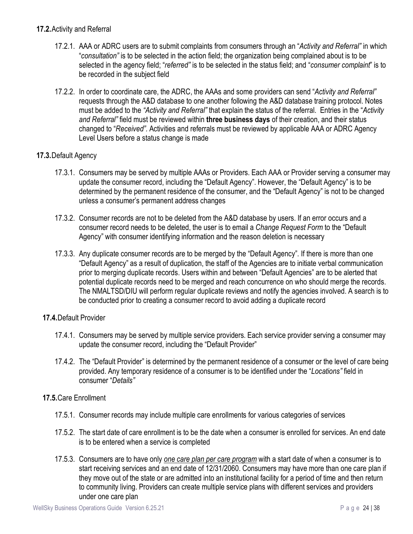#### **17.2.**Activity and Referral

- 17.2.1. AAA or ADRC users are to submit complaints from consumers through an "*Activity and Referral"* in which "*consultation"* is to be selected in the action field; the organization being complained about is to be selected in the agency field; "*referred"* is to be selected in the status field; and "*consumer complaint*" is to be recorded in the subject field
- 17.2.2. In order to coordinate care, the ADRC, the AAAs and some providers can send "*Activity and Referral"* requests through the A&D database to one another following the A&D database training protocol. Notes must be added to the *"Activity and Referral"* that explain the status of the referral. Entries in the "*Activity and Referral"* field must be reviewed within **three business days** of their creation, and their status changed to "*Received".* Activities and referrals must be reviewed by applicable AAA or ADRC Agency Level Users before a status change is made

#### **17.3.**Default Agency

- 17.3.1. Consumers may be served by multiple AAAs or Providers. Each AAA or Provider serving a consumer may update the consumer record, including the "Default Agency". However, the "Default Agency" is to be determined by the permanent residence of the consumer, and the "Default Agency" is not to be changed unless a consumer's permanent address changes
- 17.3.2. Consumer records are not to be deleted from the A&D database by users. If an error occurs and a consumer record needs to be deleted, the user is to email a *Change Request Form* to the "Default Agency" with consumer identifying information and the reason deletion is necessary
- 17.3.3. Any duplicate consumer records are to be merged by the "Default Agency". If there is more than one "Default Agency" as a result of duplication, the staff of the Agencies are to initiate verbal communication prior to merging duplicate records. Users within and between "Default Agencies" are to be alerted that potential duplicate records need to be merged and reach concurrence on who should merge the records. The NMALTSD/DIU will perform regular duplicate reviews and notify the agencies involved. A search is to be conducted prior to creating a consumer record to avoid adding a duplicate record

#### **17.4.**Default Provider

- 17.4.1. Consumers may be served by multiple service providers. Each service provider serving a consumer may update the consumer record, including the "Default Provider"
- 17.4.2. The "Default Provider" is determined by the permanent residence of a consumer or the level of care being provided. Any temporary residence of a consumer is to be identified under the "*Locations"* field in consumer "*Details"*

#### **17.5.**Care Enrollment

- 17.5.1. Consumer records may include multiple care enrollments for various categories of services
- 17.5.2. The start date of care enrollment is to be the date when a consumer is enrolled for services. An end date is to be entered when a service is completed
- 17.5.3. Consumers are to have only *one care plan per care program* with a start date of when a consumer is to start receiving services and an end date of 12/31/2060. Consumers may have more than one care plan if they move out of the state or are admitted into an institutional facility for a period of time and then return to community living. Providers can create multiple service plans with different services and providers under one care plan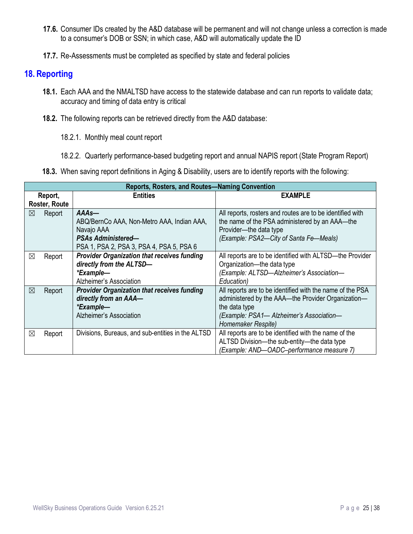- **17.6.** Consumer IDs created by the A&D database will be permanent and will not change unless a correction is made to a consumer's DOB or SSN; in which case, A&D will automatically update the ID
- **17.7.** Re-Assessments must be completed as specified by state and federal policies

#### <span id="page-24-0"></span>**18. Reporting**

- **18.1.** Each AAA and the NMALTSD have access to the statewide database and can run reports to validate data; accuracy and timing of data entry is critical
- **18.2.** The following reports can be retrieved directly from the A&D database:
	- 18.2.1. Monthly meal count report
	- 18.2.2. Quarterly performance-based budgeting report and annual NAPIS report (State Program Report)
- **18.3.** When saving report definitions in Aging & Disability, users are to identify reports with the following:

|               | Reports, Rosters, and Routes-Naming Convention |                                                    |                                                           |  |  |  |  |
|---------------|------------------------------------------------|----------------------------------------------------|-----------------------------------------------------------|--|--|--|--|
| Report,       |                                                | <b>Entities</b>                                    | <b>EXAMPLE</b>                                            |  |  |  |  |
| Roster, Route |                                                |                                                    |                                                           |  |  |  |  |
| ⊠             | Report                                         | AAAs-                                              | All reports, rosters and routes are to be identified with |  |  |  |  |
|               |                                                | ABQ/BernCo AAA, Non-Metro AAA, Indian AAA,         | the name of the PSA administered by an AAA-the            |  |  |  |  |
|               |                                                | Navajo AAA                                         | Provider-the data type                                    |  |  |  |  |
|               |                                                | <b>PSAs Administered-</b>                          | (Example: PSA2-City of Santa Fe-Meals)                    |  |  |  |  |
|               |                                                | PSA 1, PSA 2, PSA 3, PSA 4, PSA 5, PSA 6           |                                                           |  |  |  |  |
| ⊠             | Report                                         | <b>Provider Organization that receives funding</b> | All reports are to be identified with ALTSD-the Provider  |  |  |  |  |
|               |                                                | directly from the ALTSD-                           | Organization-the data type                                |  |  |  |  |
|               |                                                | *Example-                                          | (Example: ALTSD-Alzheimer's Association-                  |  |  |  |  |
|               |                                                | Alzheimer's Association                            | Education)                                                |  |  |  |  |
| $\boxtimes$   | Report                                         | <b>Provider Organization that receives funding</b> | All reports are to be identified with the name of the PSA |  |  |  |  |
|               |                                                | directly from an AAA-                              | administered by the AAA-the Provider Organization-        |  |  |  |  |
|               |                                                | *Example-                                          | the data type                                             |  |  |  |  |
|               |                                                | Alzheimer's Association                            | (Example: PSA1- Alzheimer's Association-                  |  |  |  |  |
|               |                                                |                                                    | Homemaker Respite)                                        |  |  |  |  |
| ⊠             | Report                                         | Divisions, Bureaus, and sub-entities in the ALTSD  | All reports are to be identified with the name of the     |  |  |  |  |
|               |                                                |                                                    | ALTSD Division-the sub-entity-the data type               |  |  |  |  |
|               |                                                |                                                    | (Example: AND-OADC-performance measure 7)                 |  |  |  |  |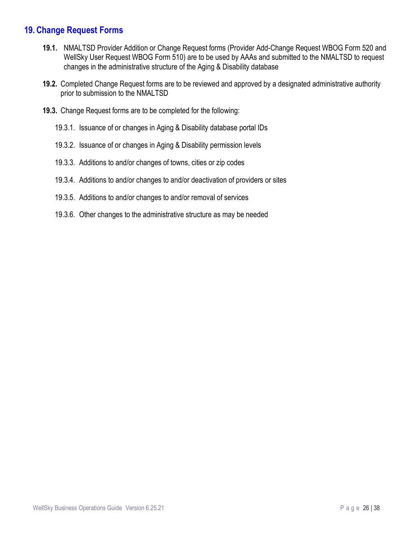## <span id="page-25-0"></span>**19. Change Request Forms**

- **19.1.** NMALTSD Provider Addition or Change Request forms (Provider Add-Change Request WBOG Form 520 and WellSky User Request WBOG Form 510) are to be used by AAAs and submitted to the NMALTSD to request changes in the administrative structure of the Aging & Disability database
- **19.2.** Completed Change Request forms are to be reviewed and approved by a designated administrative authority prior to submission to the NMALTSD
- **19.3.** Change Request forms are to be completed for the following:
	- 19.3.1. Issuance of or changes in Aging & Disability database portal IDs
	- 19.3.2. Issuance of or changes in Aging & Disability permission levels
	- 19.3.3. Additions to and/or changes of towns, cities or zip codes
	- 19.3.4. Additions to and/or changes to and/or deactivation of providers or sites
	- 19.3.5. Additions to and/or changes to and/or removal of services
	- 19.3.6. Other changes to the administrative structure as may be needed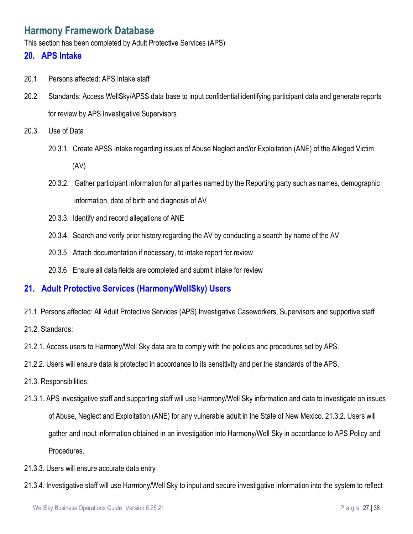# <span id="page-26-0"></span>**Harmony Framework Database**

This section has been completed by Adult Protective Services (APS)

#### <span id="page-26-1"></span>**20. APS Intake**

- 20.1 Persons affected: APS Intake staff
- 20.2 Standards: Access WellSky/APSS data base to input confidential identifying participant data and generate reports for review by APS Investigative Supervisors
- 20.3. Use of Data
	- 20.3.1. Create APSS Intake regarding issues of Abuse Neglect and/or Exploitation (ANE) of the Alleged Victim (AV)
	- 20.3.2. Gather participant information for all parties named by the Reporting party such as names, demographic information, date of birth and diagnosis of AV
	- 20.3.3. Identify and record allegations of ANE
	- 20.3.4. Search and verify prior history regarding the AV by conducting a search by name of the AV
	- 20.3.5 Attach documentation if necessary, to intake report for review
	- 20.3.6 Ensure all data fields are completed and submit intake for review

#### <span id="page-26-2"></span>**21. Adult Protective Services (Harmony/WellSky) Users**

- 21.1. Persons affected: All Adult Protective Services (APS) Investigative Caseworkers, Supervisors and supportive staff
- 21.2. Standards:
- 21.2.1. Access users to Harmony/Well Sky data are to comply with the policies and procedures set by APS.
- 21.2.2. Users will ensure data is protected in accordance to its sensitivity and per the standards of the APS.
- 21.3. Responsibilities:
- 21.3.1. APS investigative staff and supporting staff will use Harmony/Well Sky information and data to investigate on issues of Abuse, Neglect and Exploitation (ANE) for any vulnerable adult in the State of New Mexico. 21.3.2. Users will gather and input information obtained in an investigation into Harmony/Well Sky in accordance to APS Policy and Procedures.
- 21.3.3. Users will ensure accurate data entry
- 21.3.4. Investigative staff will use Harmony/Well Sky to input and secure investigative information into the system to reflect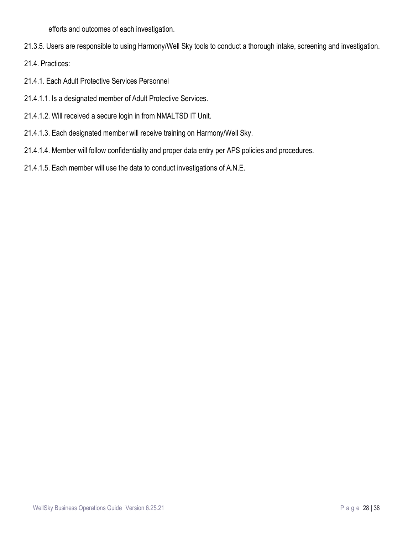efforts and outcomes of each investigation.

21.3.5. Users are responsible to using Harmony/Well Sky tools to conduct a thorough intake, screening and investigation.

21.4. Practices:

- 21.4.1. Each Adult Protective Services Personnel
- 21.4.1.1. Is a designated member of Adult Protective Services.
- 21.4.1.2. Will received a secure login in from NMALTSD IT Unit.
- 21.4.1.3. Each designated member will receive training on Harmony/Well Sky.
- 21.4.1.4. Member will follow confidentiality and proper data entry per APS policies and procedures.
- 21.4.1.5. Each member will use the data to conduct investigations of A.N.E.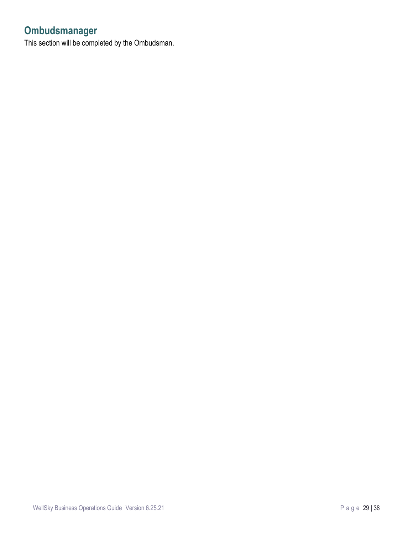# <span id="page-28-0"></span>**Ombudsmanager**

This section will be completed by the Ombudsman.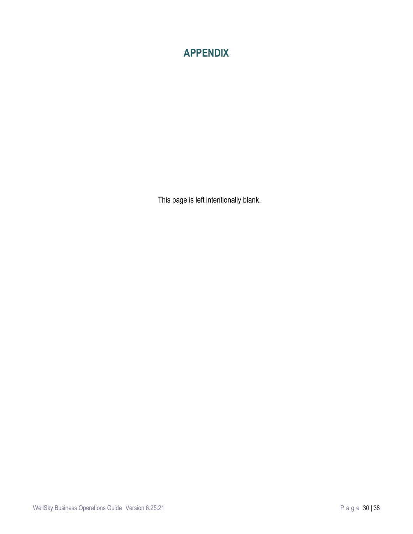# <span id="page-29-0"></span>**APPENDIX**

This page is left intentionally blank.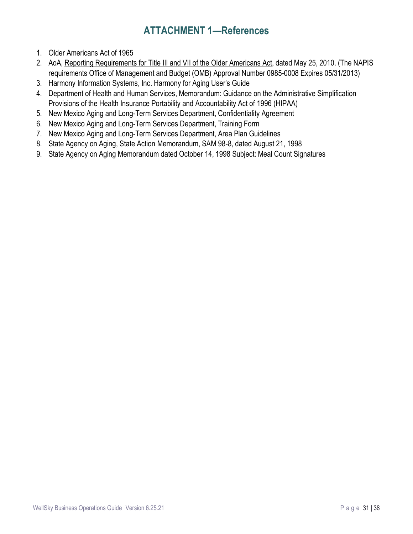# **ATTACHMENT 1—References**

- <span id="page-30-0"></span>1. Older Americans Act of 1965
- 2. AoA, Reporting Requirements for Title III and VII of the Older Americans Act, dated May 25, 2010. (The NAPIS requirements Office of Management and Budget (OMB) Approval Number 0985-0008 Expires 05/31/2013)
- 3. Harmony Information Systems, Inc. Harmony for Aging User's Guide
- 4. Department of Health and Human Services, Memorandum: Guidance on the Administrative Simplification Provisions of the Health Insurance Portability and Accountability Act of 1996 (HIPAA)
- 5. New Mexico Aging and Long-Term Services Department, Confidentiality Agreement
- 6. New Mexico Aging and Long-Term Services Department, Training Form
- 7. New Mexico Aging and Long-Term Services Department, Area Plan Guidelines
- 8. State Agency on Aging, State Action Memorandum, SAM 98-8, dated August 21, 1998
- 9. State Agency on Aging Memorandum dated October 14, 1998 Subject: Meal Count Signatures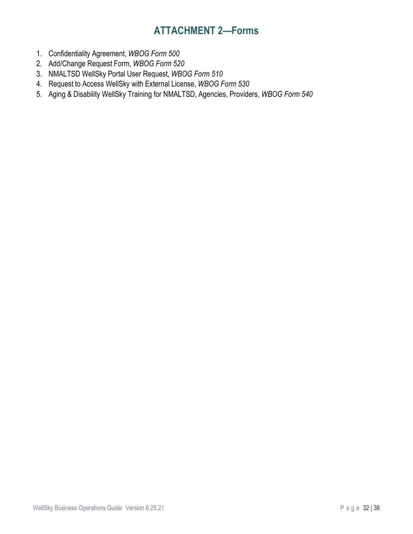# **ATTACHMENT 2—Forms**

- <span id="page-31-0"></span>1. Confidentiality Agreement, *WBOG Form 500*
- 2. Add/Change Request Form, *WBOG Form 520*
- 3. NMALTSD WellSky Portal User Request, *WBOG Form 510*
- 4. Request to Access WellSky with External License, *WBOG Form 530*
- 5. Aging & Disability WellSky Training for NMALTSD, Agencies, Providers, *WBOG Form 540*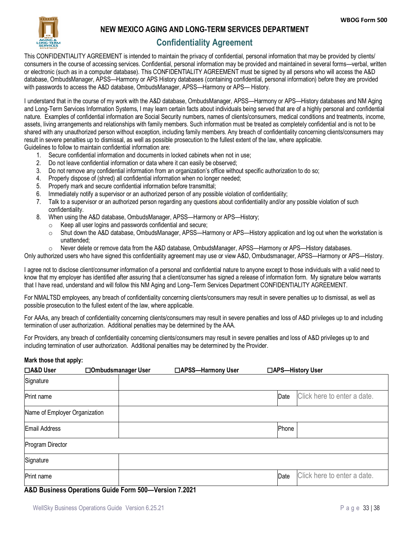

#### <span id="page-32-0"></span>**NEW MEXICO AGING AND LONG-TERM SERVICES DEPARTMENT**

## **Confidentiality Agreement**

This CONFIDENTIALITY AGREEMENT is intended to maintain the privacy of confidential, personal information that may be provided by clients/ consumers in the course of accessing services. Confidential, personal information may be provided and maintained in several forms—verbal, written or electronic (such as in a computer database). This CONFIDENTIALITY AGREEMENT must be signed by all persons who will access the A&D database, OmbudsManager, APSS—Harmony or APS History databases (containing confidential, personal information) before they are provided with passwords to access the A&D database, OmbudsManager, APSS—Harmony or APS— History.

I understand that in the course of my work with the A&D database, OmbudsManager, APSS—Harmony or APS—History databases and NM Aging and Long-Term Services Information Systems, I may learn certain facts about individuals being served that are of a highly personal and confidential nature. Examples of confidential information are Social Security numbers, names of clients/consumers, medical conditions and treatments, income, assets, living arrangements and relationships with family members. Such information must be treated as completely confidential and is not to be shared with any unauthorized person without exception, including family members. Any breach of confidentiality concerning clients/consumers may result in severe penalties up to dismissal, as well as possible prosecution to the fullest extent of the law, where applicable. Guidelines to follow to maintain confidential information are:

- 1. Secure confidential information and documents in locked cabinets when not in use;
- 2. Do not leave confidential information or data where it can easily be observed;
- 3. Do not remove any confidential information from an organization's office without specific authorization to do so;
- 4. Properly dispose of (shred) all confidential information when no longer needed;
- 5. Properly mark and secure confidential information before transmittal;
- 6. Immediately notify a supervisor or an authorized person of any possible violation of confidentiality;
- 7. Talk to a supervisor or an authorized person regarding any questions about confidentiality and/or any possible violation of such confidentiality.
- 8. When using the A&D database, OmbudsManager, APSS—Harmony or APS—History;
	- o Keep all user logins and passwords confidential and secure;
	- o Shut down the A&D database, OmbudsManager, APSS—Harmony or APS—History application and log out when the workstation is unattended;
	- o Never delete or remove data from the A&D database, OmbudsManager, APSS—Harmony or APS—History databases.

Only authorized users who have signed this confidentiality agreement may use or view A&D, Ombudsmanager, APSS—Harmony or APS—History.

I agree not to disclose client/consumer information of a personal and confidential nature to anyone except to those individuals with a valid need to know that my employer has identified after assuring that a client/consumer has signed a release of information form. My signature below warrants that I have read, understand and will follow this NM Aging and Long–Term Services Department CONFIDENTIALITY AGREEMENT.

For NMALTSD employees, any breach of confidentiality concerning clients/consumers may result in severe penalties up to dismissal, as well as possible prosecution to the fullest extent of the law, where applicable.

For AAAs, any breach of confidentiality concerning clients/consumers may result in severe penalties and loss of A&D privileges up to and including termination of user authorization. Additional penalties may be determined by the AAA.

For Providers, any breach of confidentiality concerning clients/consumers may result in severe penalties and loss of A&D privileges up to and including termination of user authorization. Additional penalties may be determined by the Provider.

#### **Mark those that apply:**

| □A&D User                     | □Ombudsmanager User | □APSS-Harmony User |       | □APS-History User           |
|-------------------------------|---------------------|--------------------|-------|-----------------------------|
| Signature                     |                     |                    |       |                             |
| Print name                    |                     |                    | Date  | Click here to enter a date. |
| Name of Employer Organization |                     |                    |       |                             |
| Email Address                 |                     |                    | Phone |                             |
| Program Director              |                     |                    |       |                             |
| Signature                     |                     |                    |       |                             |
| Print name                    |                     |                    | Date  | Click here to enter a date. |

#### **A&D Business Operations Guide Form 500—Version 7.2021**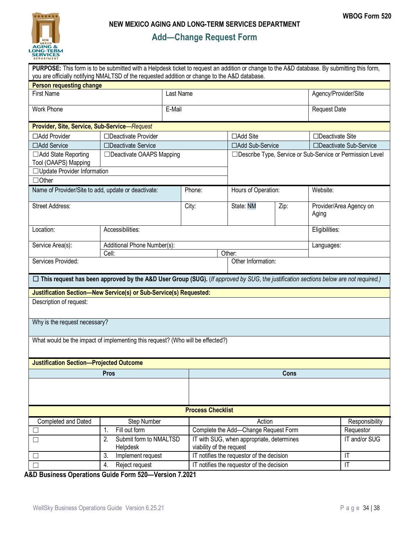<span id="page-33-0"></span>

# **Add—Change Request Form**

|                                                     | PURPOSE: This form is to be submitted with a Helpdesk ticket to request an addition or change to the A&D database. By submitting this form,<br>you are officially notifying NMALTSD of the requested addition or change to the A&D database. |                          |                                                                                |      |                     |                                                             |  |
|-----------------------------------------------------|----------------------------------------------------------------------------------------------------------------------------------------------------------------------------------------------------------------------------------------------|--------------------------|--------------------------------------------------------------------------------|------|---------------------|-------------------------------------------------------------|--|
| <b>Person requesting change</b>                     |                                                                                                                                                                                                                                              |                          |                                                                                |      |                     |                                                             |  |
| Last Name<br><b>First Name</b>                      |                                                                                                                                                                                                                                              |                          |                                                                                |      |                     | Agency/Provider/Site                                        |  |
| <b>Work Phone</b>                                   | E-Mail                                                                                                                                                                                                                                       |                          |                                                                                |      | <b>Request Date</b> |                                                             |  |
| Provider, Site, Service, Sub-Service-Request        |                                                                                                                                                                                                                                              |                          |                                                                                |      |                     |                                                             |  |
| □Add Provider                                       | □Deactivate Provider                                                                                                                                                                                                                         |                          | □Add Site                                                                      |      | □Deactivate Site    |                                                             |  |
| □Add Service                                        | □Deactivate Service                                                                                                                                                                                                                          |                          | □Add Sub-Service                                                               |      |                     | □Deactivate Sub-Service                                     |  |
| □ Add State Reporting<br>Tool (OAAPS) Mapping       | $\Box$ Deactivate OAAPS Mapping                                                                                                                                                                                                              |                          |                                                                                |      |                     | □ Describe Type, Service or Sub-Service or Permission Level |  |
| □Update Provider Information                        |                                                                                                                                                                                                                                              |                          |                                                                                |      |                     |                                                             |  |
| $\Box$ Other                                        |                                                                                                                                                                                                                                              |                          |                                                                                |      |                     |                                                             |  |
| Name of Provider/Site to add, update or deactivate: |                                                                                                                                                                                                                                              | Phone:                   | Hours of Operation:                                                            |      | Website:            |                                                             |  |
| <b>Street Address:</b>                              |                                                                                                                                                                                                                                              | City:                    | State: NM                                                                      | Zip: | Aging               | Provider/Area Agency on                                     |  |
| Location:                                           | Accessibilities:                                                                                                                                                                                                                             |                          |                                                                                |      |                     | Eligibilities:                                              |  |
| Service Area(s):                                    | Additional Phone Number(s):                                                                                                                                                                                                                  |                          |                                                                                |      |                     | Languages:                                                  |  |
|                                                     | Cell:                                                                                                                                                                                                                                        |                          | Other:                                                                         |      |                     |                                                             |  |
| Services Provided:                                  |                                                                                                                                                                                                                                              |                          | Other Information:                                                             |      |                     |                                                             |  |
| Description of request:                             | $\Box$ This request has been approved by the A&D User Group (SUG). (If approved by SUG, the justification sections below are not required.)<br>Justification Section-New Service(s) or Sub-Service(s) Requested:                             |                          |                                                                                |      |                     |                                                             |  |
| Why is the request necessary?                       |                                                                                                                                                                                                                                              |                          |                                                                                |      |                     |                                                             |  |
|                                                     | What would be the impact of implementing this request? (Who will be effected?)                                                                                                                                                               |                          |                                                                                |      |                     |                                                             |  |
| <b>Justification Section-Projected Outcome</b>      |                                                                                                                                                                                                                                              |                          |                                                                                |      |                     |                                                             |  |
| Pros                                                |                                                                                                                                                                                                                                              |                          | <b>Cons</b>                                                                    |      |                     |                                                             |  |
|                                                     |                                                                                                                                                                                                                                              |                          |                                                                                |      |                     |                                                             |  |
|                                                     |                                                                                                                                                                                                                                              | <b>Process Checklist</b> |                                                                                |      |                     |                                                             |  |
| Completed and Dated                                 | Step Number                                                                                                                                                                                                                                  |                          | Action                                                                         |      |                     | Responsibility                                              |  |
|                                                     | Fill out form<br>1.                                                                                                                                                                                                                          |                          | Complete the Add-Change Request Form                                           |      |                     | Requestor                                                   |  |
| Submit form to NMALTSD<br>2.<br>□<br>Helpdesk       |                                                                                                                                                                                                                                              |                          | IT with SUG, when appropriate, determines<br>viability of the request          |      |                     | IT and/or SUG                                               |  |
| □                                                   | Implement request<br>3.                                                                                                                                                                                                                      |                          | IT notifies the requestor of the decision<br>$\mathsf{I}\mathsf{T}$            |      |                     |                                                             |  |
| Reject request<br>4.<br>$\Box$                      |                                                                                                                                                                                                                                              |                          | IT notifies the requestor of the decision<br>$\overline{\mathsf{I}\mathsf{T}}$ |      |                     |                                                             |  |

**A&D Business Operations Guide Form 520—Version 7.2021**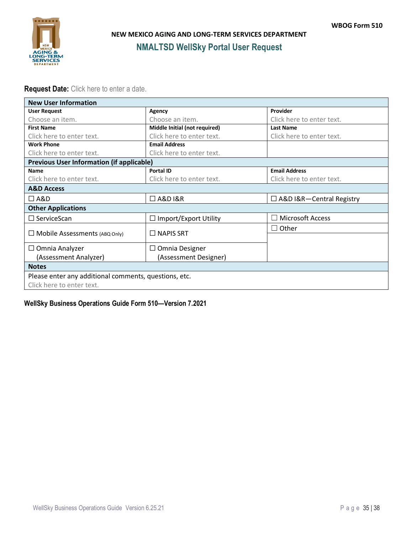<span id="page-34-0"></span>

#### **Request Date:** Click here to enter a date.

| <b>New User Information</b>                           |                               |                                              |  |  |  |  |
|-------------------------------------------------------|-------------------------------|----------------------------------------------|--|--|--|--|
| <b>User Request</b>                                   | Agency                        | Provider                                     |  |  |  |  |
| Choose an item.                                       | Choose an item.               | Click here to enter text.                    |  |  |  |  |
| <b>First Name</b>                                     | Middle Initial (not required) | <b>Last Name</b>                             |  |  |  |  |
| Click here to enter text.                             | Click here to enter text.     | Click here to enter text.                    |  |  |  |  |
| <b>Work Phone</b>                                     | <b>Email Address</b>          |                                              |  |  |  |  |
| Click here to enter text.                             | Click here to enter text.     |                                              |  |  |  |  |
| <b>Previous User Information (if applicable)</b>      |                               |                                              |  |  |  |  |
| <b>Name</b>                                           | <b>Portal ID</b>              | <b>Email Address</b>                         |  |  |  |  |
| Click here to enter text.                             | Click here to enter text.     | Click here to enter text.                    |  |  |  |  |
| <b>A&amp;D Access</b>                                 |                               |                                              |  |  |  |  |
| $\Box$ A&D                                            | $\Box$ A&D I&R                | $\Box$ A&D I&R-Central Registry              |  |  |  |  |
| <b>Other Applications</b>                             |                               |                                              |  |  |  |  |
| $\Box$ ServiceScan                                    | $\Box$ Import/Export Utility  | <b>Microsoft Access</b><br>$\vert \ \ \vert$ |  |  |  |  |
|                                                       |                               | Other<br>$\perp$                             |  |  |  |  |
| $\Box$ Mobile Assessments (ABQ Only)                  | $\Box$ NAPIS SRT              |                                              |  |  |  |  |
| $\Box$ Omnia Analyzer                                 | $\Box$ Omnia Designer         |                                              |  |  |  |  |
| (Assessment Analyzer)                                 | (Assessment Designer)         |                                              |  |  |  |  |
| <b>Notes</b>                                          |                               |                                              |  |  |  |  |
| Please enter any additional comments, questions, etc. |                               |                                              |  |  |  |  |
| Click here to enter text.                             |                               |                                              |  |  |  |  |
|                                                       |                               |                                              |  |  |  |  |

#### **WellSky Business Operations Guide Form 510—Version 7.2021**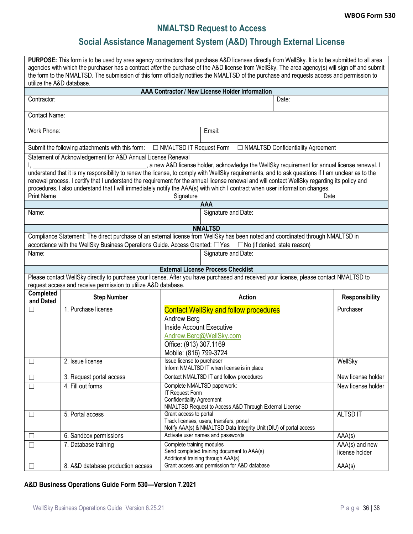# **NMALTSD Request to Access**

# **Social Assistance Management System (A&D) Through External License**

<span id="page-35-1"></span><span id="page-35-0"></span>

| PURPOSE: This form is to be used by area agency contractors that purchase A&D licenses directly from WellSky. It is to be submitted to all area<br>agencies with which the purchaser has a contract after the purchase of the A&D license from WellSky. The area agency(s) will sign off and submit<br>the form to the NMALTSD. The submission of this form officially notifies the NMALTSD of the purchase and requests access and permission to<br>utilize the A&D database. |                                                                                                                                                                                                                                                                               |                                                   |                                                                                               |                                     |                                  |  |  |  |
|--------------------------------------------------------------------------------------------------------------------------------------------------------------------------------------------------------------------------------------------------------------------------------------------------------------------------------------------------------------------------------------------------------------------------------------------------------------------------------|-------------------------------------------------------------------------------------------------------------------------------------------------------------------------------------------------------------------------------------------------------------------------------|---------------------------------------------------|-----------------------------------------------------------------------------------------------|-------------------------------------|----------------------------------|--|--|--|
|                                                                                                                                                                                                                                                                                                                                                                                                                                                                                |                                                                                                                                                                                                                                                                               |                                                   | AAA Contractor / New License Holder Information                                               |                                     |                                  |  |  |  |
| Contractor:                                                                                                                                                                                                                                                                                                                                                                                                                                                                    |                                                                                                                                                                                                                                                                               |                                                   |                                                                                               | Date:                               |                                  |  |  |  |
|                                                                                                                                                                                                                                                                                                                                                                                                                                                                                | Contact Name:                                                                                                                                                                                                                                                                 |                                                   |                                                                                               |                                     |                                  |  |  |  |
| Work Phone:                                                                                                                                                                                                                                                                                                                                                                                                                                                                    | Email:                                                                                                                                                                                                                                                                        |                                                   |                                                                                               |                                     |                                  |  |  |  |
|                                                                                                                                                                                                                                                                                                                                                                                                                                                                                | Submit the following attachments with this form:                                                                                                                                                                                                                              | □ NMALTSD IT Request Form                         |                                                                                               | □ NMALTSD Confidentiality Agreement |                                  |  |  |  |
|                                                                                                                                                                                                                                                                                                                                                                                                                                                                                | Statement of Acknowledgement for A&D Annual License Renewal                                                                                                                                                                                                                   |                                                   |                                                                                               |                                     |                                  |  |  |  |
|                                                                                                                                                                                                                                                                                                                                                                                                                                                                                |                                                                                                                                                                                                                                                                               |                                                   | , a new A&D license holder, acknowledge the WellSky requirement for annual license renewal. I |                                     |                                  |  |  |  |
|                                                                                                                                                                                                                                                                                                                                                                                                                                                                                | understand that it is my responsibility to renew the license, to comply with WellSky requirements, and to ask questions if I am unclear as to the                                                                                                                             |                                                   |                                                                                               |                                     |                                  |  |  |  |
|                                                                                                                                                                                                                                                                                                                                                                                                                                                                                | renewal process. I certify that I understand the requirement for the annual license renewal and will contact WellSky regarding its policy and<br>procedures. I also understand that I will immediately notify the AAA(s) with which I contract when user information changes. |                                                   |                                                                                               |                                     |                                  |  |  |  |
| <b>Print Name</b>                                                                                                                                                                                                                                                                                                                                                                                                                                                              |                                                                                                                                                                                                                                                                               | Signature                                         |                                                                                               | Date                                |                                  |  |  |  |
|                                                                                                                                                                                                                                                                                                                                                                                                                                                                                |                                                                                                                                                                                                                                                                               |                                                   | AAA                                                                                           |                                     |                                  |  |  |  |
| Name:                                                                                                                                                                                                                                                                                                                                                                                                                                                                          |                                                                                                                                                                                                                                                                               |                                                   | Signature and Date:                                                                           |                                     |                                  |  |  |  |
|                                                                                                                                                                                                                                                                                                                                                                                                                                                                                |                                                                                                                                                                                                                                                                               |                                                   | <b>NMALTSD</b>                                                                                |                                     |                                  |  |  |  |
|                                                                                                                                                                                                                                                                                                                                                                                                                                                                                | Compliance Statement: The direct purchase of an external license from WellSky has been noted and coordinated through NMALTSD in<br>accordance with the WellSky Business Operations Guide. Access Granted: □ Yes □ No (if denied, state reason)                                |                                                   |                                                                                               |                                     |                                  |  |  |  |
| Name:                                                                                                                                                                                                                                                                                                                                                                                                                                                                          |                                                                                                                                                                                                                                                                               |                                                   | Signature and Date:                                                                           |                                     |                                  |  |  |  |
|                                                                                                                                                                                                                                                                                                                                                                                                                                                                                |                                                                                                                                                                                                                                                                               |                                                   |                                                                                               |                                     |                                  |  |  |  |
|                                                                                                                                                                                                                                                                                                                                                                                                                                                                                |                                                                                                                                                                                                                                                                               |                                                   | <b>External License Process Checklist</b>                                                     |                                     |                                  |  |  |  |
|                                                                                                                                                                                                                                                                                                                                                                                                                                                                                | Please contact WellSky directly to purchase your license. After you have purchased and received your license, please contact NMALTSD to<br>request access and receive permission to utilize A&D database.                                                                     |                                                   |                                                                                               |                                     |                                  |  |  |  |
| Completed<br>and Dated                                                                                                                                                                                                                                                                                                                                                                                                                                                         | <b>Step Number</b>                                                                                                                                                                                                                                                            |                                                   | <b>Action</b>                                                                                 |                                     | <b>Responsibility</b>            |  |  |  |
| $\overline{\phantom{a}}$                                                                                                                                                                                                                                                                                                                                                                                                                                                       | 1. Purchase license                                                                                                                                                                                                                                                           |                                                   | <b>Contact WellSky and follow procedures</b>                                                  |                                     | Purchaser                        |  |  |  |
|                                                                                                                                                                                                                                                                                                                                                                                                                                                                                |                                                                                                                                                                                                                                                                               | Andrew Berg                                       |                                                                                               |                                     |                                  |  |  |  |
|                                                                                                                                                                                                                                                                                                                                                                                                                                                                                |                                                                                                                                                                                                                                                                               | <b>Inside Account Executive</b>                   |                                                                                               |                                     |                                  |  |  |  |
|                                                                                                                                                                                                                                                                                                                                                                                                                                                                                |                                                                                                                                                                                                                                                                               |                                                   | Andrew.Berg@WellSky.com                                                                       |                                     |                                  |  |  |  |
|                                                                                                                                                                                                                                                                                                                                                                                                                                                                                |                                                                                                                                                                                                                                                                               | Office: (913) 307.1169                            |                                                                                               |                                     |                                  |  |  |  |
|                                                                                                                                                                                                                                                                                                                                                                                                                                                                                |                                                                                                                                                                                                                                                                               | Mobile: (816) 799-3724                            |                                                                                               |                                     |                                  |  |  |  |
| $\Box$                                                                                                                                                                                                                                                                                                                                                                                                                                                                         | 2. Issue license                                                                                                                                                                                                                                                              | Issue license to purchaser                        | Inform NMALTSD IT when license is in place                                                    |                                     | WellSky                          |  |  |  |
| $\Box$                                                                                                                                                                                                                                                                                                                                                                                                                                                                         | 3. Request portal access                                                                                                                                                                                                                                                      |                                                   | Contact NMALTSD IT and follow procedures                                                      |                                     | New license holder               |  |  |  |
| $\Box$                                                                                                                                                                                                                                                                                                                                                                                                                                                                         | 4. Fill out forms                                                                                                                                                                                                                                                             | Complete NMALTSD paperwork:<br>New license holder |                                                                                               |                                     |                                  |  |  |  |
|                                                                                                                                                                                                                                                                                                                                                                                                                                                                                |                                                                                                                                                                                                                                                                               | IT Request Form                                   |                                                                                               |                                     |                                  |  |  |  |
|                                                                                                                                                                                                                                                                                                                                                                                                                                                                                | <b>Confidentiality Agreement</b><br>NMALTSD Request to Access A&D Through External License                                                                                                                                                                                    |                                                   |                                                                                               |                                     |                                  |  |  |  |
| $\Box$                                                                                                                                                                                                                                                                                                                                                                                                                                                                         | 5. Portal access                                                                                                                                                                                                                                                              | Grant access to portal                            |                                                                                               |                                     | ALTSD IT                         |  |  |  |
|                                                                                                                                                                                                                                                                                                                                                                                                                                                                                |                                                                                                                                                                                                                                                                               |                                                   | Track licenses, users, transfers, portal                                                      |                                     |                                  |  |  |  |
|                                                                                                                                                                                                                                                                                                                                                                                                                                                                                |                                                                                                                                                                                                                                                                               |                                                   | Notify AAA(s) & NMALTSD Data Integrity Unit (DIU) of portal access                            |                                     |                                  |  |  |  |
| $\Box$                                                                                                                                                                                                                                                                                                                                                                                                                                                                         | 6. Sandbox permissions                                                                                                                                                                                                                                                        | Complete training modules                         | Activate user names and passwords                                                             |                                     | AAA(s)                           |  |  |  |
| $\Box$                                                                                                                                                                                                                                                                                                                                                                                                                                                                         | 7. Database training                                                                                                                                                                                                                                                          |                                                   | Send completed training document to AAA(s)                                                    |                                     | AAA(s) and new<br>license holder |  |  |  |
|                                                                                                                                                                                                                                                                                                                                                                                                                                                                                |                                                                                                                                                                                                                                                                               |                                                   | Additional training through AAA(s)                                                            |                                     |                                  |  |  |  |
| $\Box$                                                                                                                                                                                                                                                                                                                                                                                                                                                                         | 8. A&D database production access                                                                                                                                                                                                                                             |                                                   | Grant access and permission for A&D database                                                  |                                     | AAA(s)                           |  |  |  |

#### **A&D Business Operations Guide Form 530—Version 7.2021**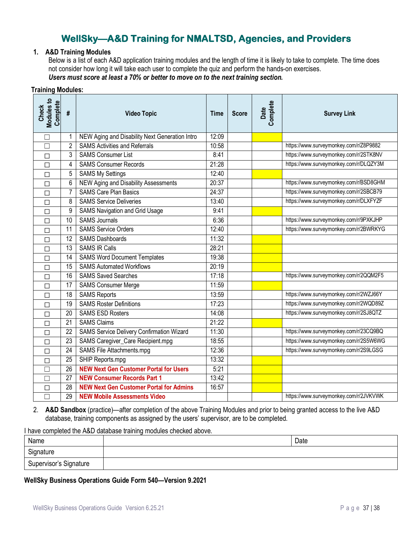# **WellSky—A&D Training for NMALTSD, Agencies, and Providers**

#### <span id="page-36-0"></span>**1. A&D Training Modules**

Below is a list of each A&D application training modules and the length of time it is likely to take to complete. The time does not consider how long it will take each user to complete the quiz and perform the hands-on exercises. *Users must score at least a 70% or better to move on to the next training section.*

#### **Training Modules:**

| Check<br>Modules to<br>Complete | #               | <b>Video Topic</b>                             | <b>Time</b>        | <b>Score</b> | Complete<br>Date | <b>Survey Link</b>                     |
|---------------------------------|-----------------|------------------------------------------------|--------------------|--------------|------------------|----------------------------------------|
| $\Box$                          |                 | NEW Aging and Disability Next Generation Intro | 12:09              |              |                  |                                        |
| $\Box$                          | 2               | <b>SAMS Activities and Referrals</b>           | 10:58              |              |                  | https://www.surveymonkey.com/r/Z8P9882 |
| $\Box$                          | 3               | <b>SAMS Consumer List</b>                      | 8:41               |              |                  | https://www.surveymonkey.com/r/2STK8NV |
| П                               | 4               | <b>SAMS Consumer Records</b>                   | 21:28              |              |                  | https://www.surveymonkey.com/r/DLQZY3M |
| $\Box$                          | 5               | <b>SAMS My Settings</b>                        | $\overline{12:}40$ |              |                  |                                        |
| П                               | 6               | NEW Aging and Disability Assessments           | 20:37              |              |                  | https://www.surveymonkey.com/r/BSD8GHM |
| $\Box$                          | 7               | <b>SAMS Care Plan Basics</b>                   | 24:37              |              |                  | https://www.surveymonkey.com/r/2SBCB79 |
| П                               | 8               | <b>SAMS Service Deliveries</b>                 | 13:40              |              |                  | https://www.surveymonkey.com/r/DLXFYZF |
| $\Box$                          | 9               | <b>SAMS Navigation and Grid Usage</b>          | 9:41               |              |                  |                                        |
| $\Box$                          | 10              | <b>SAMS Journals</b>                           | 6:36               |              |                  | https://www.surveymonkey.com/r/9PXKJHP |
| $\Box$                          | $\overline{11}$ | <b>SAMS Service Orders</b>                     | 12:40              |              |                  | https://www.surveymonkey.com/r/2BWRKYG |
| П                               | 12              | <b>SAMS Dashboards</b>                         | 11:32              |              |                  |                                        |
| □                               | 13              | <b>SAMS IR Calls</b>                           | 28:21              |              |                  |                                        |
| П                               | 14              | <b>SAMS Word Document Templates</b>            | 19:38              |              |                  |                                        |
| $\Box$                          | 15              | <b>SAMS Automated Workflows</b>                | 20:19              |              |                  |                                        |
| П                               | 16              | <b>SAMS Saved Searches</b>                     | 17:18              |              |                  | https://www.surveymonkey.com/r/2QQM2F5 |
| П                               | $\overline{17}$ | <b>SAMS Consumer Merge</b>                     | 11:59              |              |                  |                                        |
| $\Box$                          | 18              | <b>SAMS Reports</b>                            | 13:59              |              |                  | https://www.surveymonkey.com/r/2WZJ66Y |
| П                               | 19              | <b>SAMS Roster Definitions</b>                 | 17:23              |              |                  | https://www.surveymonkey.com/r/2WQD89Z |
| $\Box$                          | 20              | <b>SAMS ESD Rosters</b>                        | 14:08              |              |                  | https://www.surveymonkey.com/r/2SJ8QTZ |
| П                               | $\overline{21}$ | <b>SAMS Claims</b>                             | 21:22              |              |                  |                                        |
| $\Box$                          | 22              | SAMS Service Delivery Confirmation Wizard      | 11:30              |              |                  | https://www.surveymonkey.com/r/23CQ9BQ |
| П                               | 23              | SAMS Caregiver_Care Recipient.mpg              | 18:55              |              |                  | https://www.surveymonkey.com/r/2S5W6WG |
| $\Box$                          | $\overline{24}$ | <b>SAMS File Attachments.mpg</b>               | 12:36              |              |                  | https://www.surveymonkey.com/r/2S9LGSG |
| $\Box$                          | 25              | SHIP Reports.mpg                               | 13:32              |              |                  |                                        |
| $\Box$                          | $\overline{26}$ | <b>NEW Next Gen Customer Portal for Users</b>  | 5:21               |              |                  |                                        |
| П                               | 27              | <b>NEW Consumer Records Part 1</b>             | 13:42              |              |                  |                                        |
| □                               | $\overline{28}$ | <b>NEW Next Gen Customer Portal for Admins</b> | 16:57              |              |                  |                                        |
| П                               | 29              | <b>NEW Mobile Assessments Video</b>            |                    |              |                  | https://www.surveymonkey.com/r/2JVKVWK |

2. **A&D Sandbox** (practice)—after completion of the above Training Modules and prior to being granted access to the live A&D database, training components as assigned by the users' supervisor, are to be completed.

I have completed the A&D database training modules checked above.

| Name                   | Date |
|------------------------|------|
| Signature              |      |
| Supervisor's Signature |      |

#### **WellSky Business Operations Guide Form 540—Version 9.2021**